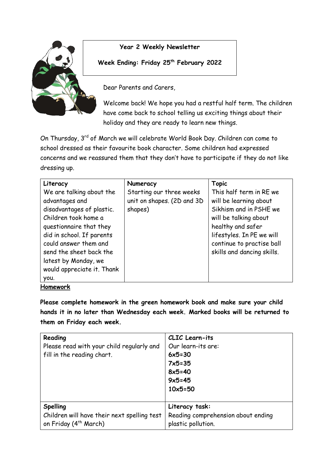

## **Year 2 Weekly Newsletter**

## **Week Ending: Friday 25th February 2022**

Dear Parents and Carers,

Welcome back! We hope you had a restful half term. The children have come back to school telling us exciting things about their holiday and they are ready to learn new things.

On Thursday, 3rd of March we will celebrate World Book Day. Children can come to school dressed as their favourite book character. Some children had expressed concerns and we reassured them that they don't have to participate if they do not like dressing up.

| Literacy                                                                                                                                                                         | Numeracy                                                          | <b>Topic</b>                                                                                                                                                                        |
|----------------------------------------------------------------------------------------------------------------------------------------------------------------------------------|-------------------------------------------------------------------|-------------------------------------------------------------------------------------------------------------------------------------------------------------------------------------|
| We are talking about the<br>advantages and<br>disadvantages of plastic.<br>Children took home a<br>questionnaire that they<br>did in school. If parents<br>could answer them and | Starting our three weeks<br>unit on shapes. (2D and 3D<br>shapes) | This half term in RE we<br>will be learning about<br>Sikhism and in PSHE we<br>will be talking about<br>healthy and safer<br>lifestyles. In PE we will<br>continue to practise ball |
| send the sheet back the<br>latest by Monday, we<br>would appreciate it. Thank<br>you.                                                                                            |                                                                   | skills and dancing skills.                                                                                                                                                          |

## **Homework**

**Please complete homework in the green homework book and make sure your child hands it in no later than Wednesday each week. Marked books will be returned to them on Friday each week.** 

| Reading<br>Please read with your child regularly and<br>fill in the reading chart. | CLIC Learn-its<br>Our learn-its are:<br>$6x5=30$<br>$7x5 = 35$<br>$8x5=40$<br>$9x5 = 45$<br>$10x5 = 50$ |
|------------------------------------------------------------------------------------|---------------------------------------------------------------------------------------------------------|
| <b>Spelling</b>                                                                    | Literacy task:                                                                                          |
| Children will have their next spelling test                                        | Reading comprehension about ending                                                                      |
| on Friday (4 <sup>th</sup> March)                                                  | plastic pollution.                                                                                      |